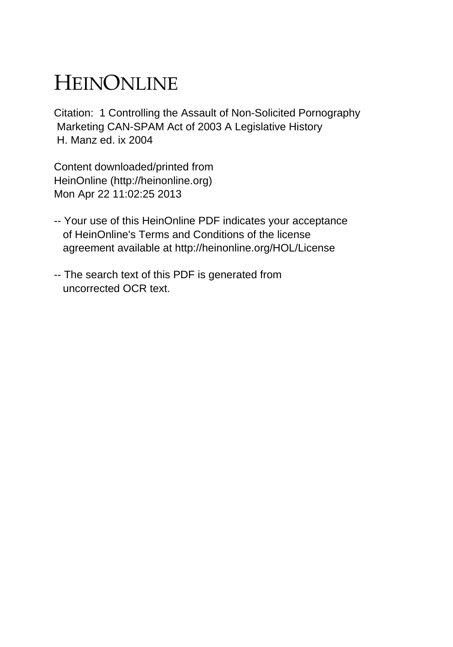## HEINONLINE

Citation: 1 Controlling the Assault of Non-Solicited Pornography Marketing CAN-SPAM Act of 2003 A Legislative History H. Manz ed. ix 2004

Content downloaded/printed from HeinOnline (http://heinonline.org) Mon Apr 22 11:02:25 2013

- -- Your use of this HeinOnline PDF indicates your acceptance of HeinOnline's Terms and Conditions of the license agreement available at http://heinonline.org/HOL/License
- -- The search text of this PDF is generated from uncorrected OCR text.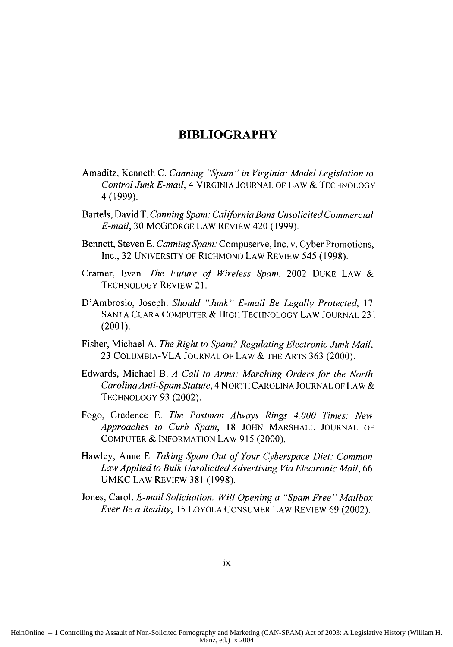## **BIBLIOGRAPHY**

- Amaditz, Kenneth C. *Canning "Spam" in Virginia. Model Legislation to Control Junk E-mail,* 4 VIRGINIA JOURNAL OF LAW & TECHNOLOGY 4 (1999).
- Bartels, David T. *Canning* Spam: *California Bans Unsolicited Commercial E-mail,* 30 MCGEORGE LAW REVIEW 420 (1999).
- Bennett, Steven E. *Canning Spam:* Compuserve, Inc. v. Cyber Promotions, Inc., 32 UNIVERSITY OF RICHMOND LAW REVIEW 545 (1998).
- Cramer, Evan. *The Future of Wireless Spam,* 2002 DUKE LAW & TECHNOLOGY REVIEW 21.
- D'Ambrosio, Joseph. *Should "Junk" E-mail Be Legally Protected,* 17 SANTA CLARA COMPUTER & HIGH TECHNOLOGY LAW JOURNAL 231 (2001).
- Fisher, Michael A. *The Right to Spam? Regulating Electronic Junk Mail*, 23 COLUMBIA-VLA JOURNAL OF LAW & THE ARTS 363 (2000).
- Edwards, Michael B. *A Call to Arms: Marching Orders for the North Carolina Anti-Spam Statute,* 4 NORTH CAROLINA JOURNAL OF LAW & TECHNOLOGY 93 (2002).
- Fogo, Credence E. *The Postman Always Rings 4,000 Times: New Approaches to Curb Spam,* 18 JOHN MARSHALL JOURNAL OF COMPUTER & INFORMATION LAW 915 (2000).
- Hawley, Anne E. *Taking Spam Out of Your Cyberspace Diet.: Common Law Applied to Bulk Unsolicited Advertising Via Electronic Mail,* 66 UMKC LAW REVIEW 381 (1998).
- Jones, Carol. *E-mail Solicitation: Will Opening a "Spam Free" Mailbox Ever Be a Reality,* 15 LOYOLA CONSUMER LAW REVIEW 69 (2002).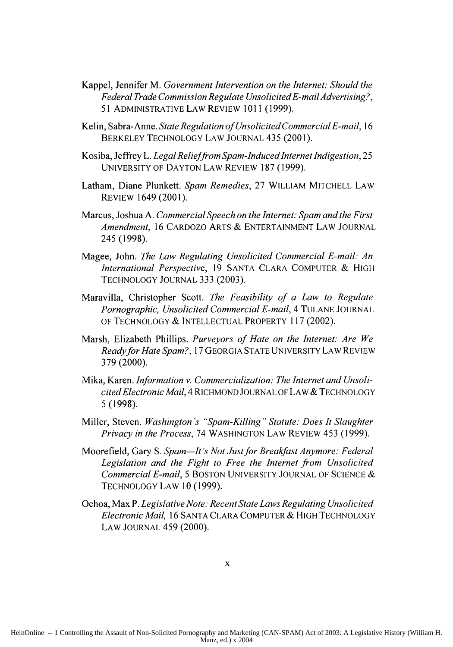- Kappel, Jennifer M. *Government Intervention on the Internet. Should the Federal Trade Commission Regulate UnsolicitedE-mailAdvertising?,* 51 ADMINISTRATIVE LAW REVIEW 1011 **(1999).**
- Kelin, Sabra-Anne. *State Regulation of Unsolicited Commercial E-mail, 16* BERKELEY TECHNOLOGY LAW JOURNAL 435 (2001).
- Kosiba, Jeffrey L. *Legal Relief from Spam-Induced Internet Indigestion*, 25 UNIVERSITY OF DAYTON LAW REVIEW 187 (1999).
- Latham, Diane Plunkett. Spam Remedies, 27 WILLIAM MITCHELL LAW REVIEW 1649 (2001).
- Marcus, Joshua A. *Commercial Speech on the Internet: Spam and the First Amendment,* 16 CARDOZO ARTS & ENTERTAINMENT LAW JOURNAL 245 (1998).
- Magee, John. *The Law Regulating Unsolicited Commercial E-mail: An International Perspective,* 19 SANTA CLARA COMPUTER & HIGH TECHNOLOGY JOURNAL 333 (2003).
- Maravilla, Christopher Scott. *The Feasibility of a Law to Regulate Pornographic, Unsolicited Commercial E-mail,* 4 TULANE JOURNAL OF TECHNOLOGY & INTELLECTUAL PROPERTY 117 (2002).
- Marsh, Elizabeth Phillips. *Purveyors of Hate on the Internet: Are We Readyfor Hate Spain?,* 17 GEORGIA STATE UNIVERSITY LAW REVIEW 379 (2000).
- Mika, Karen. *Information v. Commercialization: The Internet and UnsolicitedElectronic Mail,* 4 RICHMOND JOURNAL OF LAW & TECHNOLOGY 5(1998).
- Miller, Steven. *Washington's "Spam-Killing" Statute: Does It Slaughter Privacy in the Process,* 74 WASHINGTON LAW REVIEW 453 (1999).
- Moorefield, Gary S. *Spam-It's Not Just for Breakfast Anymore: Federal Legislation and the Fight to Free the Internet from Unsolicited Commercial E-mail,* 5 BOSTON UNIVERSITY JOURNAL OF SCIENCE & TECHNOLOGY LAW 10 (1999).
- Ochoa, Max P. *Legislative Note: Recent State Laws Regulating Unsolicited Electronic Mail,* 16 SANTA CLARA COMPUTER & HIGH TECHNOLOGY LAW JOURNAL 459 (2000).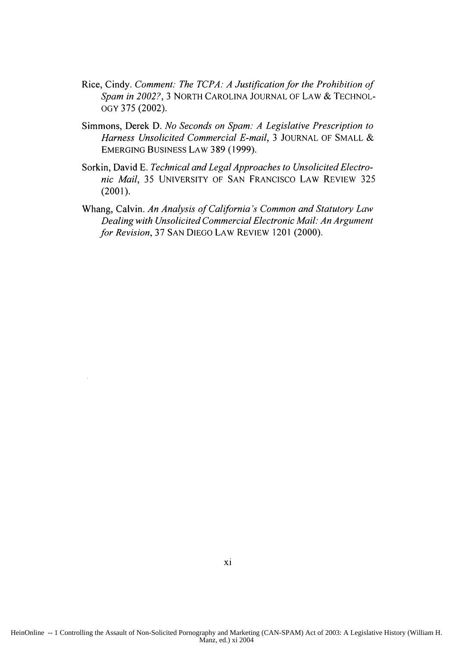- Rice, Cindy. *Comment: The TCPA. A Justification for the Prohibition of Spam in 2002?,* 3 NORTH CAROLINA JOURNAL OF LAW & TECHNOL-**OGY** 375 (2002).
- Simmons, Derek D. *No Seconds on Spam: A Legislative Prescription to Harness Unsolicited Commercial E-mail,* 3 JOURNAL OF SMALL & EMERGING BUSINESS LAW 389 (1999).
- Sorkin, David E. *Technical and Legal Approaches to Unsolicited Electronic Mail,* 35 UNIVERSITY OF SAN FRANCISCO LAW REVIEW 325 (2001).
- Whang, Calvin. *An Analysis of California's Common and Statutory Law Dealing with Unsolicited Commercial Electronic Mail. An Argument for Revision,* 37 SAN DIEGO LAW REVIEW 1201 (2000).